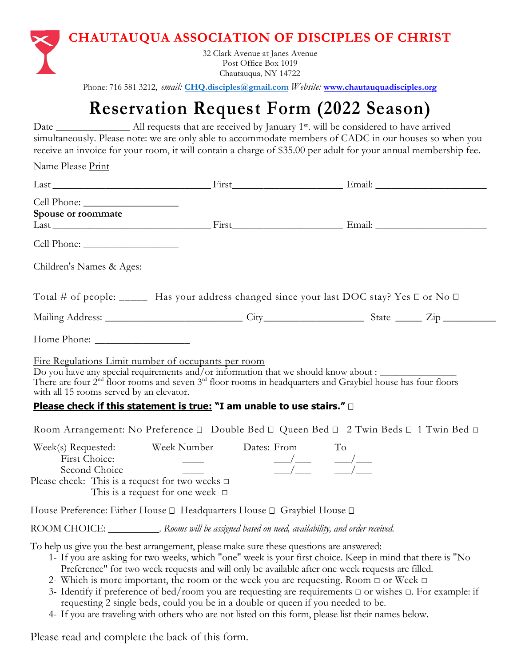

Phone: 716 581 3212, *email:* **CHQ.disciples@gmail.com** *Website:* **[www.chautauquadisciples.org](http://www.chautauquadisciples.org/)**

## **Reservation Request Form (2022 Season)**

Date \_\_\_\_\_\_\_\_\_\_\_\_\_\_\_ All requests that are received by January 1<sup>st</sup>. will be considered to have arrived simultaneously. Please note: we are only able to accommodate members of CADC in our houses so when you receive an invoice for your room, it will contain a charge of \$35.00 per adult for your annual membership fee.

Name Please Print

| Spouse or roommate                                                                     |                                                                                                                                                                                                                                                                                                                                                                                                                                                                                                                                                                                                                         |                                                                                                                                                                                                                                                                                                                                                                                                                                                                  |  |
|----------------------------------------------------------------------------------------|-------------------------------------------------------------------------------------------------------------------------------------------------------------------------------------------------------------------------------------------------------------------------------------------------------------------------------------------------------------------------------------------------------------------------------------------------------------------------------------------------------------------------------------------------------------------------------------------------------------------------|------------------------------------------------------------------------------------------------------------------------------------------------------------------------------------------------------------------------------------------------------------------------------------------------------------------------------------------------------------------------------------------------------------------------------------------------------------------|--|
|                                                                                        |                                                                                                                                                                                                                                                                                                                                                                                                                                                                                                                                                                                                                         |                                                                                                                                                                                                                                                                                                                                                                                                                                                                  |  |
| Children's Names & Ages:                                                               |                                                                                                                                                                                                                                                                                                                                                                                                                                                                                                                                                                                                                         |                                                                                                                                                                                                                                                                                                                                                                                                                                                                  |  |
|                                                                                        | Total # of people: ______ Has your address changed since your last DOC stay? Yes □ or No □                                                                                                                                                                                                                                                                                                                                                                                                                                                                                                                              |                                                                                                                                                                                                                                                                                                                                                                                                                                                                  |  |
|                                                                                        |                                                                                                                                                                                                                                                                                                                                                                                                                                                                                                                                                                                                                         |                                                                                                                                                                                                                                                                                                                                                                                                                                                                  |  |
|                                                                                        |                                                                                                                                                                                                                                                                                                                                                                                                                                                                                                                                                                                                                         |                                                                                                                                                                                                                                                                                                                                                                                                                                                                  |  |
| with all 15 rooms served by an elevator.                                               | Do you have any special requirements and/or information that we should know about :<br>There are four $2^{nd}$ floor rooms and seven $3^{rd}$ floor rooms in headquarters and Graybiel house has four floors<br>Please check if this statement is true: "I am unable to use stairs." $\Box$<br>Room Arrangement: No Preference □ Double Bed □ Queen Bed □ 2 Twin Beds □ 1 Twin Bed □                                                                                                                                                                                                                                    |                                                                                                                                                                                                                                                                                                                                                                                                                                                                  |  |
| First Choice:<br>Second Choice<br>Please check: This is a request for two weeks $\Box$ | Week(s) Requested: Week Number Dates: From<br>and the company of the company of<br>This is a request for one week $\Box$                                                                                                                                                                                                                                                                                                                                                                                                                                                                                                | To<br>$\frac{1}{\sqrt{1-\frac{1}{2}}} \qquad \frac{1}{\sqrt{1-\frac{1}{2}}} \qquad \frac{1}{\sqrt{1-\frac{1}{2}}} \qquad \frac{1}{\sqrt{1-\frac{1}{2}}} \qquad \frac{1}{\sqrt{1-\frac{1}{2}}} \qquad \frac{1}{\sqrt{1-\frac{1}{2}}} \qquad \frac{1}{\sqrt{1-\frac{1}{2}}} \qquad \frac{1}{\sqrt{1-\frac{1}{2}}} \qquad \frac{1}{\sqrt{1-\frac{1}{2}}} \qquad \frac{1}{\sqrt{1-\frac{1}{2}}} \qquad \frac{1}{\sqrt{1-\frac{1}{2}}} \qquad \frac{1}{\sqrt{1-\frac$ |  |
|                                                                                        | House Preference: Either House □ Headquarters House □ Graybiel House □                                                                                                                                                                                                                                                                                                                                                                                                                                                                                                                                                  |                                                                                                                                                                                                                                                                                                                                                                                                                                                                  |  |
|                                                                                        | ROOM CHOICE: _______________. Rooms will be assigned based on need, availability, and order received.                                                                                                                                                                                                                                                                                                                                                                                                                                                                                                                   |                                                                                                                                                                                                                                                                                                                                                                                                                                                                  |  |
|                                                                                        | To help us give you the best arrangement, please make sure these questions are answered:<br>1- If you are asking for two weeks, which "one" week is your first choice. Keep in mind that there is "No<br>Preference" for two week requests and will only be available after one week requests are filled.<br>2- Which is more important, the room or the week you are requesting. Room $\Box$ or Week $\Box$<br>3- Identify if preference of bed/room you are requesting are requirements $\Box$ or wishes $\Box$ . For example: if<br>requesting 2 single beds, could you be in a double or queen if you needed to be. |                                                                                                                                                                                                                                                                                                                                                                                                                                                                  |  |

4- If you are traveling with others who are not listed on this form, please list their names below.

Please read and complete the back of this form.